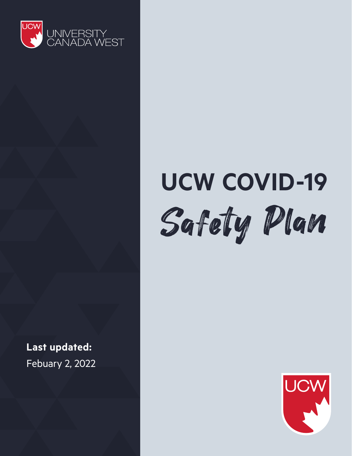

# **UCW COVID-19** Safety Plan

**Last updated:**  Febuary 2, 2022

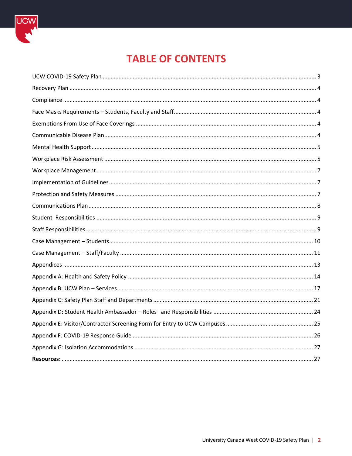

# **TABLE OF CONTENTS**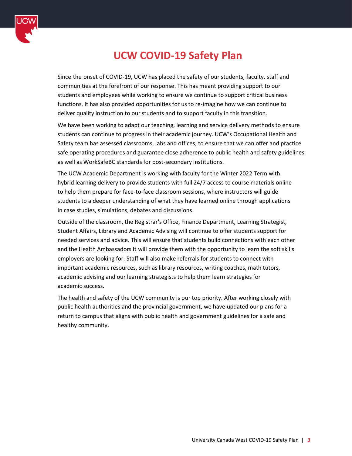

# **UCW COVID-19 Safety Plan**

<span id="page-2-0"></span>Since the onset of COVID-19, UCW has placed the safety of our students, faculty, staff and communities at the forefront of our response. This has meant providing support to our students and employees while working to ensure we continue to support critical business functions. It has also provided opportunities for us to re-imagine how we can continue to deliver quality instruction to our students and to support faculty in this transition.

We have been working to adapt our teaching, learning and service delivery methods to ensure students can continue to progress in their academic journey. UCW's Occupational Health and Safety team has assessed classrooms, labs and offices, to ensure that we can offer and practice safe operating procedures and guarantee close adherence to public health and safety guidelines, as well as WorkSafeBC standards for post-secondary institutions.

The UCW Academic Department is working with faculty for the Winter 2022 Term with hybrid learning delivery to provide students with full 24/7 access to course materials online to help them prepare for face-to-face classroom sessions, where instructors will guide students to a deeper understanding of what they have learned online through applications in case studies, simulations, debates and discussions.

Outside of the classroom, the Registrar's Office, Finance Department, Learning Strategist, Student Affairs, Library and Academic Advising will continue to offer students support for needed services and advice. This will ensure that students build connections with each other and the Health Ambassadors It will provide them with the opportunity to learn the soft skills employers are looking for. Staff will also make referrals for students to connect with important academic resources, such as library resources, writing coaches, math tutors, academic advising and our learning strategists to help them learn strategies for academic success.

The health and safety of the UCW community is our top priority. After working closely with public health authorities and the provincial government, we have updated our plans for a return to campus that aligns with public health and government guidelines for a safe and healthy community.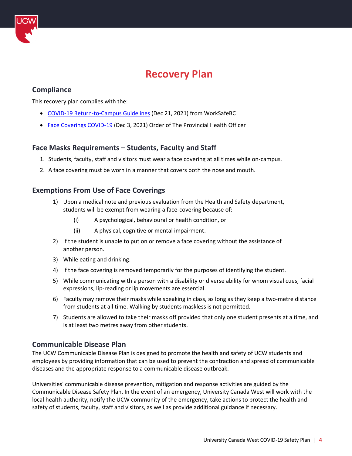

# **Recovery Plan**

# <span id="page-3-1"></span><span id="page-3-0"></span>**Compliance**

This recovery plan complies with the:

- [COVID-19 Return-to-Campus Guidelines](https://www2.gov.bc.ca/assets/gov/education/post-secondary-education/institution-resources-administration/covid19-return-to-campus-guidelines-web.pdf) (Dec 21, 2021) from WorkSafeBC
- [Face Coverings COVID-19](https://www2.gov.bc.ca/assets/gov/health/about-bc-s-health-care-system/office-of-the-provincial-health-officer/covid-19/covid-19-pho-order-face-coverings.pdf) (Dec 3, 2021) Order of The Provincial Health Officer

## <span id="page-3-2"></span>**Face Masks Requirements – Students, Faculty and Staff**

- 1. Students, faculty, staff and visitors must wear a face covering at all times while on-campus.
- 2. A face covering must be worn in a manner that covers both the nose and mouth.

## <span id="page-3-3"></span>**Exemptions From Use of Face Coverings**

- 1) Upon a medical note and previous evaluation from the Health and Safety department, students will be exempt from wearing a face-covering because of:
	- (i) A psychological, behavioural or health condition, or
	- (ii) A physical, cognitive or mental impairment.
- 2) If the student is unable to put on or remove a face covering without the assistance of another person.
- 3) While eating and drinking.
- 4) If the face covering is removed temporarily for the purposes of identifying the student.
- 5) While communicating with a person with a disability or diverse ability for whom visual cues, facial expressions, lip-reading or lip movements are essential.
- 6) Faculty may remove their masks while speaking in class, as long as they keep a two-metre distance from students at all time. Walking by students maskless is not permitted.
- 7) Students are allowed to take their masks off provided that only one student presents at a time, and is at least two metres away from other students.

#### <span id="page-3-4"></span>**Communicable Disease Plan**

The UCW Communicable Disease Plan is designed to promote the health and safety of UCW students and employees by providing information that can be used to prevent the contraction and spread of communicable diseases and the appropriate response to a communicable disease outbreak.

Universities' communicable disease prevention, mitigation and response activities are guided by the Communicable Disease Safety Plan. In the event of an emergency, University Canada West will work with the local health authority, notify the UCW community of the emergency, take actions to protect the health and safety of students, faculty, staff and visitors, as well as provide additional guidance if necessary.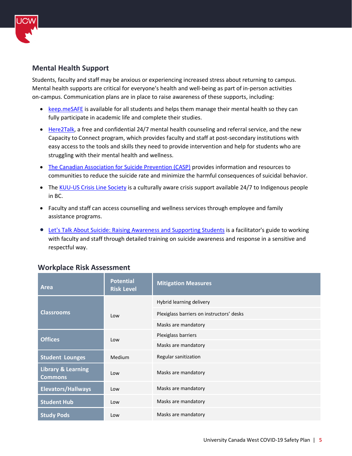

# <span id="page-4-0"></span>**Mental Health Support**

Students, faculty and staff may be anxious or experiencing increased stress about returning to campus. Mental health supports are critical for everyone's health and well-being as part of in-person activities on-campus. Communication plans are in place to raise awareness of these supports, including:

- [keep.meSAFE](https://www.guard.me/keepmesafe.php) is available for all students and helps them manage their mental health so they can fully participate in academic life and complete their studies.
- [Here2Talk,](https://here2talk.ca/) a free and confidential 24/7 mental health counseling and referral service, and the new Capacity to Connect program, which provides faculty and staff at post-secondary institutions with easy access to the tools and skills they need to provide intervention and help for students who are struggling with their mental health and wellness.
- [The Canadian Association for Suicide Prevention \(CASP\)](https://suicideprevention.ca/) provides information and resources to communities to reduce the suicide rate and minimize the harmful consequences of suicidal behavior.
- The [KUU-US Crisis Line Society](https://www.kuu-uscrisisline.com/) is a culturally aware crisis support available 24/7 to Indigenous people in BC.
- Faculty and staff can access counselling and wellness services through employee and family assistance programs.
- [Let's Talk About Suicide: Raising Awareness and Supporting Students](https://opentextbc.ca/suicideawareness/) is a facilitator's guide to working with faculty and staff through detailed training on suicide awareness and response in a sensitive and respectful way.

| <b>Area</b>                                     | <b>Potential</b><br><b>Risk Level</b> | <b>Mitigation Measures</b>                |  |
|-------------------------------------------------|---------------------------------------|-------------------------------------------|--|
|                                                 |                                       | Hybrid learning delivery                  |  |
| <b>Classrooms</b>                               | Low                                   | Plexiglass barriers on instructors' desks |  |
|                                                 |                                       | Masks are mandatory                       |  |
| <b>Offices</b>                                  | Low                                   | Plexiglass barriers                       |  |
|                                                 |                                       | Masks are mandatory                       |  |
| <b>Student Lounges</b>                          | Medium                                | Regular sanitization                      |  |
| <b>Library &amp; Learning</b><br><b>Commons</b> | Low                                   | Masks are mandatory                       |  |
| <b>Elevators/Hallways</b>                       | Low                                   | Masks are mandatory                       |  |
| <b>Student Hub</b>                              | Low                                   | Masks are mandatory                       |  |
| <b>Study Pods</b>                               | Low                                   | Masks are mandatory                       |  |

## <span id="page-4-1"></span> **Workplace Risk Assessment**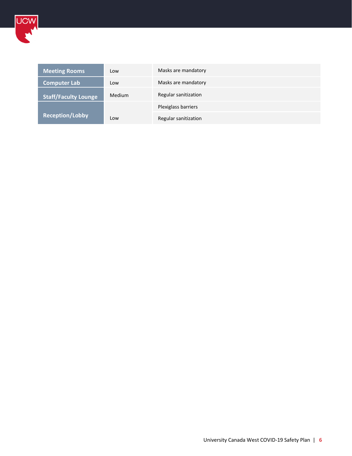

| <b>Meeting Rooms</b>        | Low    | Masks are mandatory  |
|-----------------------------|--------|----------------------|
| <b>Computer Lab</b>         | Low    | Masks are mandatory  |
| <b>Staff/Faculty Lounge</b> | Medium | Regular sanitization |
|                             |        | Plexiglass barriers  |
| <b>Reception/Lobby</b>      | Low    | Regular sanitization |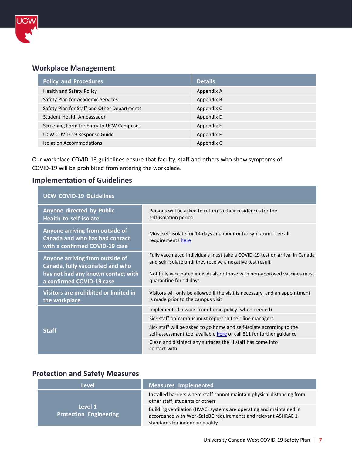

# <span id="page-6-0"></span>**Workplace Management**

| <b>Policy and Procedures</b>                | <b>Details</b> |
|---------------------------------------------|----------------|
| Health and Safety Policy                    | Appendix A     |
| Safety Plan for Academic Services           | Appendix B     |
| Safety Plan for Staff and Other Departments | Appendix C     |
| Student Health Ambassador                   | Appendix D     |
| Screening Form for Entry to UCW Campuses    | Appendix E     |
| UCW COVID-19 Response Guide                 | Appendix F     |
| <b>Isolation Accommodations</b>             | Appendix G     |

Our workplace COVID-19 guidelines ensure that faculty, staff and others who show symptoms of COVID-19 will be prohibited from entering the workplace.

# <span id="page-6-1"></span>**Implementation of Guidelines**

| <b>UCW COVID-19 Guidelines</b>                                                                                                         |                                                                                                                                                                                                                                                  |  |  |
|----------------------------------------------------------------------------------------------------------------------------------------|--------------------------------------------------------------------------------------------------------------------------------------------------------------------------------------------------------------------------------------------------|--|--|
| Anyone directed by Public<br><b>Health to self-isolate</b>                                                                             | Persons will be asked to return to their residences for the<br>self-isolation period                                                                                                                                                             |  |  |
| Anyone arriving from outside of<br>Canada and who has had contact<br>with a confirmed COVID-19 case                                    | Must self-isolate for 14 days and monitor for symptoms: see all<br>requirements here                                                                                                                                                             |  |  |
| Anyone arriving from outside of<br>Canada, fully vaccinated and who<br>has not had any known contact with<br>a confirmed COVID-19 case | Fully vaccinated individuals must take a COVID-19 test on arrival in Canada<br>and self-isolate until they receive a negative test result<br>Not fully vaccinated individuals or those with non-approved vaccines must<br>quarantine for 14 days |  |  |
| Visitors are prohibited or limited in<br>the workplace                                                                                 | Visitors will only be allowed if the visit is necessary, and an appointment<br>is made prior to the campus visit                                                                                                                                 |  |  |
|                                                                                                                                        | Implemented a work-from-home policy (when needed)                                                                                                                                                                                                |  |  |
|                                                                                                                                        | Sick staff on-campus must report to their line managers                                                                                                                                                                                          |  |  |
| <b>Staff</b>                                                                                                                           | Sick staff will be asked to go home and self-isolate according to the<br>self-assessment tool available here or call 811 for further guidance                                                                                                    |  |  |
|                                                                                                                                        | Clean and disinfect any surfaces the ill staff has come into<br>contact with                                                                                                                                                                     |  |  |

## <span id="page-6-2"></span>**Protection and Safety Measures**

| Level                                    | <b>Measures Implemented</b>                                                                                                                                              |
|------------------------------------------|--------------------------------------------------------------------------------------------------------------------------------------------------------------------------|
|                                          | Installed barriers where staff cannot maintain physical distancing from<br>other staff, students or others                                                               |
| Level 1<br><b>Protection Engineering</b> | Building ventilation (HVAC) systems are operating and maintained in<br>accordance with WorkSafeBC requirements and relevant ASHRAE 1<br>standards for indoor air quality |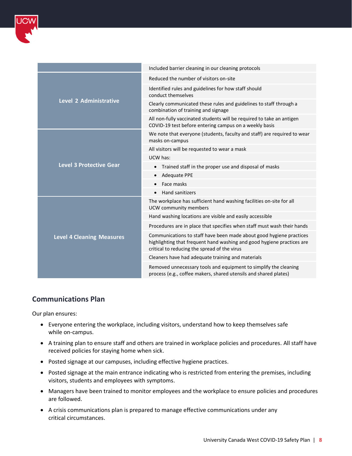

|                                  | Included barrier cleaning in our cleaning protocols                                                                                                                                           |
|----------------------------------|-----------------------------------------------------------------------------------------------------------------------------------------------------------------------------------------------|
|                                  | Reduced the number of visitors on-site                                                                                                                                                        |
|                                  | Identified rules and guidelines for how staff should<br>conduct themselves                                                                                                                    |
| <b>Level 2 Administrative</b>    | Clearly communicated these rules and guidelines to staff through a<br>combination of training and signage                                                                                     |
|                                  | All non-fully vaccinated students will be required to take an antigen<br>COVID-19 test before entering campus on a weekly basis                                                               |
|                                  | We note that everyone (students, faculty and staff) are required to wear<br>masks on-campus                                                                                                   |
|                                  | All visitors will be requested to wear a mask                                                                                                                                                 |
|                                  | UCW has:                                                                                                                                                                                      |
| <b>Level 3 Protective Gear</b>   | Trained staff in the proper use and disposal of masks<br>$\bullet$                                                                                                                            |
|                                  | <b>Adequate PPE</b><br>$\bullet$                                                                                                                                                              |
|                                  | Face masks                                                                                                                                                                                    |
|                                  | Hand sanitizers<br>$\bullet$                                                                                                                                                                  |
|                                  | The workplace has sufficient hand washing facilities on-site for all<br>UCW community members                                                                                                 |
|                                  | Hand washing locations are visible and easily accessible                                                                                                                                      |
|                                  | Procedures are in place that specifies when staff must wash their hands                                                                                                                       |
| <b>Level 4 Cleaning Measures</b> | Communications to staff have been made about good hygiene practices<br>highlighting that frequent hand washing and good hygiene practices are<br>critical to reducing the spread of the virus |
|                                  | Cleaners have had adequate training and materials                                                                                                                                             |
|                                  | Removed unnecessary tools and equipment to simplify the cleaning<br>process (e.g., coffee makers, shared utensils and shared plates)                                                          |
|                                  |                                                                                                                                                                                               |

## <span id="page-7-0"></span>**Communications Plan**

Our plan ensures:

- Everyone entering the workplace, including visitors, understand how to keep themselves safe while on-campus.
- A training plan to ensure staff and others are trained in workplace policies and procedures. All staff have received policies for staying home when sick.
- Posted signage at our campuses, including effective hygiene practices.
- Posted signage at the main entrance indicating who is restricted from entering the premises, including visitors, students and employees with symptoms.
- Managers have been trained to monitor employees and the workplace to ensure policies and procedures are followed.
- A crisis communications plan is prepared to manage effective communications under any critical circumstances.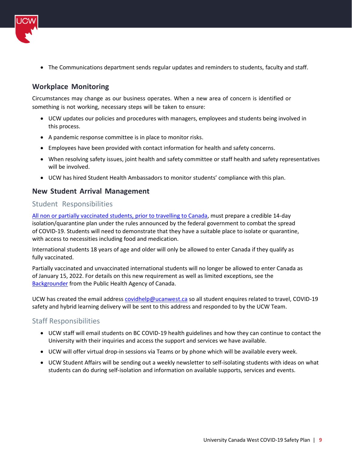

• The Communications department sends regular updates and reminders to students, faculty and staff.

# **Workplace Monitoring**

Circumstances may change as our business operates. When a new area of concern is identified or something is not working, necessary steps will be taken to ensure:

- UCW updates our policies and procedures with managers, employees and students being involved in this process.
- A pandemic response committee is in place to monitor risks.
- Employees have been provided with contact information for health and safety concerns.
- When resolving safety issues, joint health and safety committee or staff health and safety representatives will be involved.
- UCW has hired Student Health Ambassadors to monitor students' compliance with this plan.

## **New Student Arrival Management**

#### <span id="page-8-0"></span>Student Responsibilities

All non or partially vaccinated [students, prior to travelling to Canada,](https://www.canada.ca/en/public-health/services/publications/diseases-conditions/unvaccinated-travellers-entering-canada-covid-19.html) must prepare a credible 14-day isolation/quarantine plan under the rules announced by the federal government to combat the spread of COVID-19. Students will need to demonstrate that they have a suitable place to isolate or quarantine, with access to necessities including food and medication.

International students 18 years of age and older will only be allowed to enter Canada if they qualify as fully vaccinated.

Partially vaccinated and unvaccinated international students will no longer be allowed to enter Canada as of January 15, 2022. For details on this new requirement as well as limited exceptions, see the [Backgrounder](https://www.canada.ca/en/public-health/news/2021/11/adjustments-to-canadas-border-and-travel-measures.html) from the Public Health Agency of Canada.

UCW has created the email address [covidhelp@ucanwest.ca](mailto:covidhelp@ucanwest.ca) so all student enquires related to travel, COVID-19 safety and hybrid learning delivery will be sent to this address and responded to by the UCW Team.

## <span id="page-8-1"></span>Staff Responsibilities

- UCW staff will email students on BC COVID-19 health guidelines and how they can continue to contact the University with their inquiries and access the support and services we have available.
- UCW will offer virtual drop-in sessions via Teams or by phone which will be available every week.
- UCW Student Affairs will be sending out a weekly newsletter to self-isolating students with ideas on what students can do during self-isolation and information on available supports, services and events.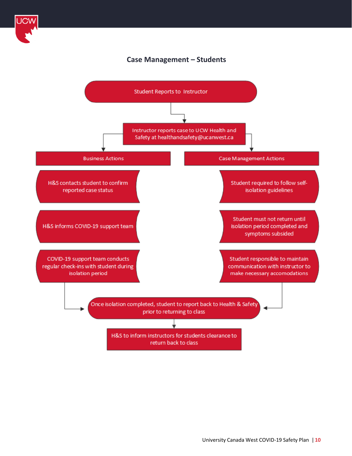

# **Case Management – Students**

<span id="page-9-0"></span>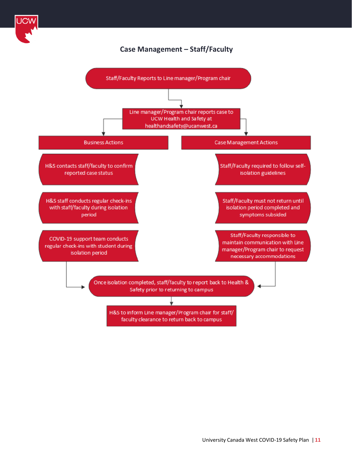

# **Case Management – Staff/Faculty**

<span id="page-10-0"></span>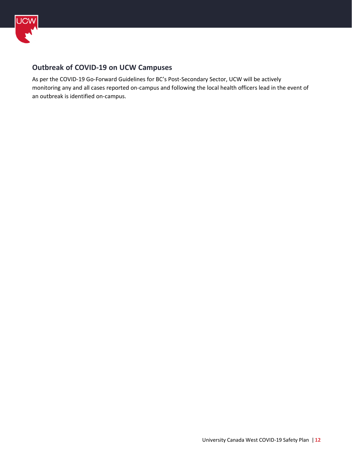

# **Outbreak of COVID-19 on UCW Campuses**

As per the COVID-19 Go-Forward Guidelines for BC's Post-Secondary Sector, UCW will be actively monitoring any and all cases reported on-campus and following the local health officers lead in the event of an outbreak is identified on-campus.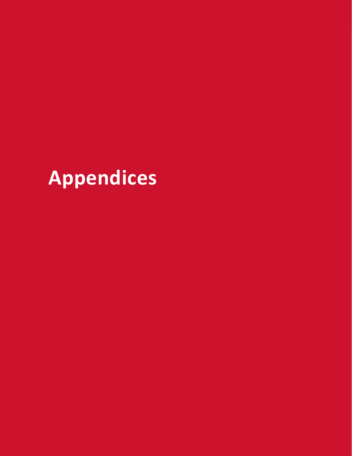<span id="page-12-0"></span>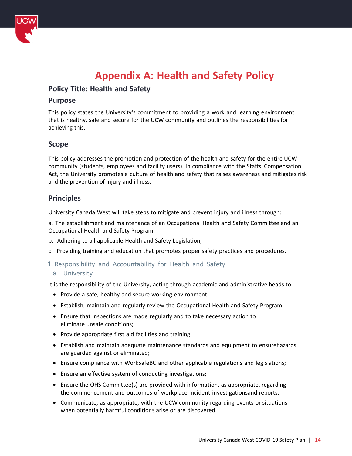

# **Appendix A: Health and Safety Policy**

## <span id="page-13-0"></span>**Policy Title: Health and Safety**

#### **Purpose**

This policy states the University's commitment to providing a work and learning environment that is healthy, safe and secure for the UCW community and outlines the responsibilities for achieving this.

#### **Scope**

This policy addresses the promotion and protection of the health and safety for the entire UCW community (students, employees and facility users). In compliance with the Staffs' Compensation Act, the University promotes a culture of health and safety that raises awareness and mitigates risk and the prevention of injury and illness.

#### **Principles**

University Canada West will take steps to mitigate and prevent injury and illness through:

a. The establishment and maintenance of an Occupational Health and Safety Committee and an Occupational Health and Safety Program;

- b. Adhering to all applicable Health and Safety Legislation;
- c. Providing training and education that promotes proper safety practices and procedures.
- 1. Responsibility and Accountability for Health and Safety

#### a. University

It is the responsibility of the University, acting through academic and administrative heads to:

- Provide a safe, healthy and secure working environment;
- Establish, maintain and regularly review the Occupational Health and Safety Program;
- Ensure that inspections are made regularly and to take necessary action to eliminate unsafe conditions;
- Provide appropriate first aid facilities and training;
- Establish and maintain adequate maintenance standards and equipment to ensurehazards are guarded against or eliminated;
- Ensure compliance with WorkSafeBC and other applicable regulations and legislations;
- Ensure an effective system of conducting investigations;
- Ensure the OHS Committee(s) are provided with information, as appropriate, regarding the commencement and outcomes of workplace incident investigationsand reports;
- Communicate, as appropriate, with the UCW community regarding events or situations when potentially harmful conditions arise or are discovered.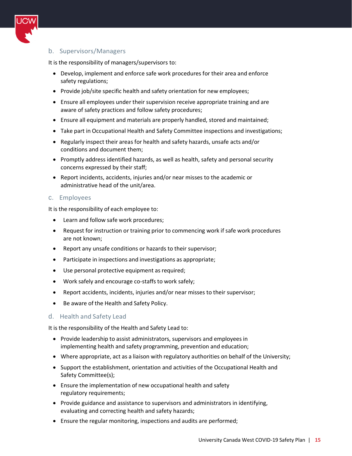

#### b. Supervisors/Managers

It is the responsibility of managers/supervisors to:

- Develop, implement and enforce safe work procedures for their area and enforce safety regulations;
- Provide job/site specific health and safety orientation for new employees;
- Ensure all employees under their supervision receive appropriate training and are aware of safety practices and follow safety procedures;
- Ensure all equipment and materials are properly handled, stored and maintained;
- Take part in Occupational Health and Safety Committee inspections and investigations;
- Regularly inspect their areas for health and safety hazards, unsafe acts and/or conditions and document them;
- Promptly address identified hazards, as well as health, safety and personal security concerns expressed by their staff;
- Report incidents, accidents, injuries and/or near misses to the academic or administrative head of the unit/area.

#### c. Employees

It is the responsibility of each employee to:

- Learn and follow safe work procedures;
- Request for instruction or training prior to commencing work if safe work procedures are not known;
- Report any unsafe conditions or hazards to their supervisor;
- Participate in inspections and investigations as appropriate;
- Use personal protective equipment as required;
- Work safely and encourage co-staffs to work safely;
- Report accidents, incidents, injuries and/or near misses to their supervisor;
- Be aware of the Health and Safety Policy.

#### d. Health and Safety Lead

It is the responsibility of the Health and Safety Lead to:

- Provide leadership to assist administrators, supervisors and employees in implementing health and safety programming, prevention and education;
- Where appropriate, act as a liaison with regulatory authorities on behalf of the University;
- Support the establishment, orientation and activities of the Occupational Health and Safety Committee(s);
- Ensure the implementation of new occupational health and safety regulatory requirements;
- Provide guidance and assistance to supervisors and administrators in identifying, evaluating and correcting health and safety hazards;
- Ensure the regular monitoring, inspections and audits are performed;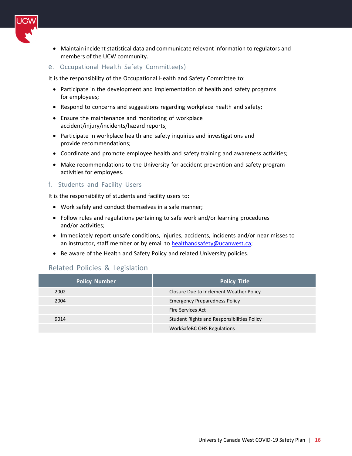

- Maintain incident statistical data and communicate relevant information to regulators and members of the UCW community.
- e. Occupational Health Safety Committee(s)

It is the responsibility of the Occupational Health and Safety Committee to:

- Participate in the development and implementation of health and safety programs for employees;
- Respond to concerns and suggestions regarding workplace health and safety;
- Ensure the maintenance and monitoring of workplace accident/injury/incidents/hazard reports;
- Participate in workplace health and safety inquiries and investigations and provide recommendations;
- Coordinate and promote employee health and safety training and awareness activities;
- Make recommendations to the University for accident prevention and safety program activities for employees.

#### f. Students and Facility Users

It is the responsibility of students and facility users to:

- Work safely and conduct themselves in a safe manner;
- Follow rules and regulations pertaining to safe work and/or learning procedures and/or activities;
- Immediately report unsafe conditions, injuries, accidents, incidents and/or near misses to an instructor, staff member or by email to [healthandsafety@ucanwest.ca;](mailto:healthandsafety@ucanwest.ca)
- Be aware of the Health and Safety Policy and related University policies.

#### Related Policies & Legislation

| <b>Policy Number</b> | <b>Policy Title</b>                        |  |
|----------------------|--------------------------------------------|--|
| 2002                 | Closure Due to Inclement Weather Policy    |  |
| 2004                 | <b>Emergency Preparedness Policy</b>       |  |
|                      | Fire Services Act                          |  |
| 9014                 | Student Rights and Responsibilities Policy |  |
|                      | <b>WorkSafeBC OHS Regulations</b>          |  |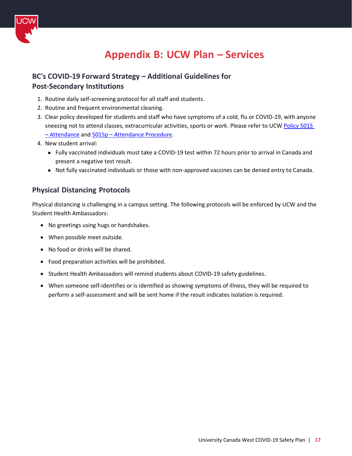

# **Appendix B: UCW Plan – Services**

# <span id="page-16-0"></span>**BC's COVID-19 Forward Strategy – Additional Guidelines for Post-Secondary Institutions**

- 1. Routine daily self-screening protocol for all staff and students.
- 2. Routine and frequent environmental cleaning.
- 3. Clear policy developed for students and staff who have symptoms of a cold, flu or COVID-19, with anyone sneezing not to attend classes, extracurricular activities, sports or work. Please refer to UCW Policy 5015 – [Attendance](https://resources.finalsite.net/images/v1610474287/uwoca/oookfixlsuuvfg08mobd/5015-Attendance-Policy.pdf) and 5015p – [Attendance Procedure.](https://resources.finalsite.net/images/v1610474345/uwoca/ln1latus4nenjjng9de9/5015p-Attendence-Procedure.pdf)
- 4. New student arrival:
	- Fully vaccinated individuals must take a COVID-19 test within 72 hours prior to arrival in Canada and present a negative test result.
	- Not fully vaccinated individuals or those with non-approved vaccines can be denied entry to Canada.

## **Physical Distancing Protocols**

Physical distancing is challenging in a campus setting. The following protocols will be enforced by UCW and the Student Health Ambassadors:

- No greetings using hugs or handshakes.
- When possible meet outside.
- No food or drinks will be shared.
- Food preparation activities will be prohibited.
- Student Health Ambassadors will remind students about COVID-19 safety guidelines.
- When someone self-identifies or is identified as showing symptoms of illness, they will be required to perform a self-assessment and will be sent home if the result indicates isolation is required.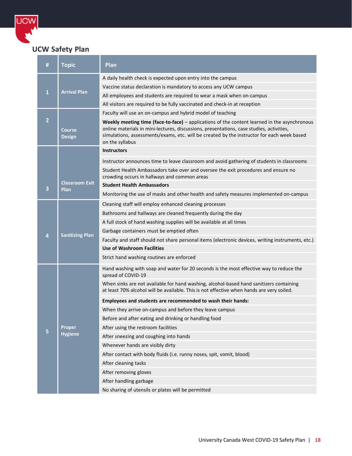

UCW

| #              | <b>Topic</b>                         | Plan                                                                                                                                                                                                                                                                                                      |  |  |
|----------------|--------------------------------------|-----------------------------------------------------------------------------------------------------------------------------------------------------------------------------------------------------------------------------------------------------------------------------------------------------------|--|--|
|                |                                      | A daily health check is expected upon entry into the campus                                                                                                                                                                                                                                               |  |  |
| 1              |                                      | Vaccine status declaration is mandatory to access any UCW campus                                                                                                                                                                                                                                          |  |  |
|                | <b>Arrival Plan</b>                  | All employees and students are required to wear a mask when on-campus                                                                                                                                                                                                                                     |  |  |
|                |                                      | All visitors are required to be fully vaccinated and check-in at reception                                                                                                                                                                                                                                |  |  |
|                |                                      | Faculty will use an on-campus and hybrid model of teaching                                                                                                                                                                                                                                                |  |  |
| $\overline{2}$ | <b>Course</b><br><b>Design</b>       | Weekly meeting time (face-to-face) - applications of the content learned in the asynchronous<br>online materials in mini-lectures, discussions, presentations, case studies, activities,<br>simulations, assessments/exams, etc. will be created by the instructor for each week based<br>on the syllabus |  |  |
|                |                                      | <b>Instructors</b>                                                                                                                                                                                                                                                                                        |  |  |
|                |                                      | Instructor announces time to leave classroom and avoid gathering of students in classrooms                                                                                                                                                                                                                |  |  |
|                |                                      | Student Health Ambassadors take over and oversee the exit procedures and ensure no<br>crowding occurs in hallways and common areas                                                                                                                                                                        |  |  |
| 3              | <b>Classroom Exit</b><br><b>Plan</b> | <b>Student Health Ambassadors</b>                                                                                                                                                                                                                                                                         |  |  |
|                |                                      | Monitoring the use of masks and other health and safety measures implemented on-campus                                                                                                                                                                                                                    |  |  |
|                |                                      | Cleaning staff will employ enhanced cleaning processes                                                                                                                                                                                                                                                    |  |  |
|                |                                      | Bathrooms and hallways are cleaned frequently during the day                                                                                                                                                                                                                                              |  |  |
|                |                                      | A full stock of hand washing supplies will be available at all times                                                                                                                                                                                                                                      |  |  |
| 4              | <b>Sanitizing Plan</b>               | Garbage containers must be emptied often                                                                                                                                                                                                                                                                  |  |  |
|                |                                      | Faculty and staff should not share personal items (electronic devices, writing instruments, etc.)                                                                                                                                                                                                         |  |  |
|                |                                      | <b>Use of Washroom Facilities</b>                                                                                                                                                                                                                                                                         |  |  |
|                |                                      | Strict hand washing routines are enforced                                                                                                                                                                                                                                                                 |  |  |
|                |                                      | Hand washing with soap and water for 20 seconds is the most effective way to reduce the<br>spread of COVID-19                                                                                                                                                                                             |  |  |
|                |                                      | When sinks are not available for hand washing, alcohol-based hand sanitizers containing<br>at least 70% alcohol will be available. This is not effective when hands are very soiled.                                                                                                                      |  |  |
|                |                                      | Employees and students are recommended to wash their hands:                                                                                                                                                                                                                                               |  |  |
|                |                                      | When they arrive on-campus and before they leave campus                                                                                                                                                                                                                                                   |  |  |
|                |                                      | Before and after eating and drinking or handling food                                                                                                                                                                                                                                                     |  |  |
|                | Proper                               | After using the restroom facilities                                                                                                                                                                                                                                                                       |  |  |
|                | <b>Hygiene</b>                       | After sneezing and coughing into hands                                                                                                                                                                                                                                                                    |  |  |
|                |                                      | Whenever hands are visibly dirty                                                                                                                                                                                                                                                                          |  |  |
|                |                                      | After contact with body fluids (i.e. runny noses, spit, vomit, blood)                                                                                                                                                                                                                                     |  |  |
|                |                                      | After cleaning tasks                                                                                                                                                                                                                                                                                      |  |  |
|                |                                      | After removing gloves                                                                                                                                                                                                                                                                                     |  |  |
|                |                                      | After handling garbage                                                                                                                                                                                                                                                                                    |  |  |
|                |                                      | No sharing of utensils or plates will be permitted                                                                                                                                                                                                                                                        |  |  |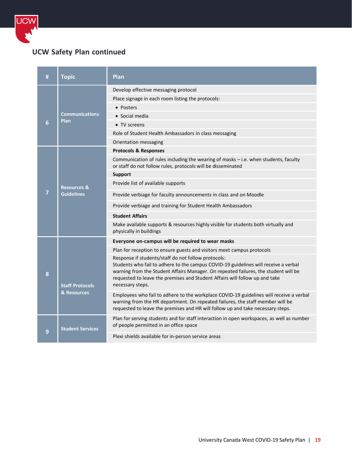

# **UCW Safety Plan continued**

| # | <b>Topic</b>                          | Plan                                                                                                                                                                                                                                                                                                                                 |
|---|---------------------------------------|--------------------------------------------------------------------------------------------------------------------------------------------------------------------------------------------------------------------------------------------------------------------------------------------------------------------------------------|
|   |                                       | Develop effective messaging protocol                                                                                                                                                                                                                                                                                                 |
|   |                                       | Place signage in each room listing the protocols:                                                                                                                                                                                                                                                                                    |
|   |                                       | • Posters                                                                                                                                                                                                                                                                                                                            |
|   | <b>Communications</b><br>Plan         | • Social media                                                                                                                                                                                                                                                                                                                       |
| 6 |                                       | • TV screens                                                                                                                                                                                                                                                                                                                         |
|   |                                       | Role of Student Health Ambassadors in class messaging                                                                                                                                                                                                                                                                                |
|   |                                       | Orientation messaging                                                                                                                                                                                                                                                                                                                |
|   |                                       | <b>Protocols &amp; Responses</b>                                                                                                                                                                                                                                                                                                     |
|   |                                       | Communication of rules including the wearing of masks - i.e. when students, faculty<br>or staff do not follow rules, protocols will be disseminated                                                                                                                                                                                  |
|   |                                       | <b>Support</b>                                                                                                                                                                                                                                                                                                                       |
|   | <b>Resources &amp;</b>                | Provide list of available supports                                                                                                                                                                                                                                                                                                   |
| 7 | <b>Guidelines</b>                     | Provide verbiage for faculty announcements in class and on Moodle                                                                                                                                                                                                                                                                    |
|   |                                       | Provide verbiage and training for Student Health Ambassadors                                                                                                                                                                                                                                                                         |
|   |                                       | <b>Student Affairs</b>                                                                                                                                                                                                                                                                                                               |
|   |                                       | Make available supports & resources highly visible for students both virtually and<br>physically in buildings                                                                                                                                                                                                                        |
|   |                                       | Everyone on-campus will be required to wear masks                                                                                                                                                                                                                                                                                    |
|   |                                       | Plan for reception to ensure guests and visitors meet campus protocols                                                                                                                                                                                                                                                               |
| 8 | <b>Staff Protocols</b><br>& Resources | Response if students/staff do not follow protocols:<br>Students who fail to adhere to the campus COVID-19 guidelines will receive a verbal<br>warning from the Student Affairs Manager. On repeated failures, the student will be<br>requested to leave the premises and Student Affairs will follow up and take<br>necessary steps. |
|   |                                       | Employees who fail to adhere to the workplace COVID-19 guidelines will receive a verbal<br>warning from the HR department. On repeated failures, the staff member will be<br>requested to leave the premises and HR will follow up and take necessary steps.                                                                         |
| 9 | <b>Student Services</b>               | Plan for serving students and for staff interaction in open workspaces, as well as number<br>of people permitted in an office space                                                                                                                                                                                                  |
|   |                                       | Plexi shields available for in-person service areas                                                                                                                                                                                                                                                                                  |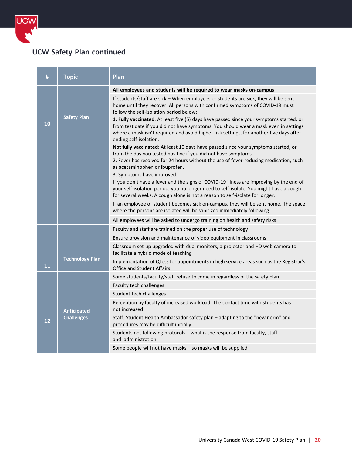

# **UCW Safety Plan continued**

| #         | <b>Topic</b>                            | Plan                                                                                                                                                                                                                                                                                                                                                                                                                                                                                                                    |
|-----------|-----------------------------------------|-------------------------------------------------------------------------------------------------------------------------------------------------------------------------------------------------------------------------------------------------------------------------------------------------------------------------------------------------------------------------------------------------------------------------------------------------------------------------------------------------------------------------|
|           |                                         | All employees and students will be required to wear masks on-campus                                                                                                                                                                                                                                                                                                                                                                                                                                                     |
| 10        | <b>Safety Plan</b>                      | If students/staff are sick - When employees or students are sick, they will be sent<br>home until they recover. All persons with confirmed symptoms of COVID-19 must<br>follow the self-isolation period below:<br>1. Fully vaccinated: At least five (5) days have passed since your symptoms started, or<br>from test date if you did not have symptoms. You should wear a mask even in settings<br>where a mask isn't required and avoid higher risk settings, for another five days after<br>ending self-isolation. |
|           |                                         | Not fully vaccinated: At least 10 days have passed since your symptoms started, or<br>from the day you tested positive if you did not have symptoms.<br>2. Fever has resolved for 24 hours without the use of fever-reducing medication, such<br>as acetaminophen or ibuprofen.                                                                                                                                                                                                                                         |
|           |                                         | 3. Symptoms have improved.<br>If you don't have a fever and the signs of COVID-19 illness are improving by the end of<br>your self-isolation period, you no longer need to self-isolate. You might have a cough<br>for several weeks. A cough alone is not a reason to self-isolate for longer.                                                                                                                                                                                                                         |
|           |                                         | If an employee or student becomes sick on-campus, they will be sent home. The space<br>where the persons are isolated will be sanitized immediately following                                                                                                                                                                                                                                                                                                                                                           |
|           |                                         | All employees will be asked to undergo training on health and safety risks                                                                                                                                                                                                                                                                                                                                                                                                                                              |
|           |                                         | Faculty and staff are trained on the proper use of technology                                                                                                                                                                                                                                                                                                                                                                                                                                                           |
|           |                                         | Ensure provision and maintenance of video equipment in classrooms                                                                                                                                                                                                                                                                                                                                                                                                                                                       |
|           |                                         | Classroom set up upgraded with dual monitors, a projector and HD web camera to<br>facilitate a hybrid mode of teaching                                                                                                                                                                                                                                                                                                                                                                                                  |
| <b>11</b> | <b>Technology Plan</b>                  | Implementation of QLess for appointments in high service areas such as the Registrar's<br><b>Office and Student Affairs</b>                                                                                                                                                                                                                                                                                                                                                                                             |
|           |                                         | Some students/faculty/staff refuse to come in regardless of the safety plan                                                                                                                                                                                                                                                                                                                                                                                                                                             |
|           |                                         | Faculty tech challenges                                                                                                                                                                                                                                                                                                                                                                                                                                                                                                 |
|           |                                         | Student tech challenges                                                                                                                                                                                                                                                                                                                                                                                                                                                                                                 |
| 12        | <b>Anticipated</b><br><b>Challenges</b> | Perception by faculty of increased workload. The contact time with students has<br>not increased.                                                                                                                                                                                                                                                                                                                                                                                                                       |
|           |                                         | Staff, Student Health Ambassador safety plan - adapting to the "new norm" and<br>procedures may be difficult initially                                                                                                                                                                                                                                                                                                                                                                                                  |
|           |                                         | Students not following protocols - what is the response from faculty, staff<br>and administration                                                                                                                                                                                                                                                                                                                                                                                                                       |
|           |                                         | Some people will not have masks - so masks will be supplied                                                                                                                                                                                                                                                                                                                                                                                                                                                             |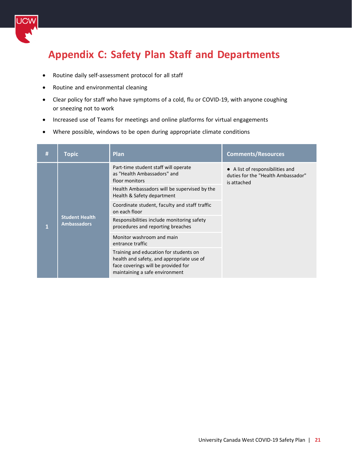

# <span id="page-20-0"></span>**Appendix C: Safety Plan Staff and Departments**

- Routine daily self-assessment protocol for all staff
- Routine and environmental cleaning
- Clear policy for staff who have symptoms of a cold, flu or COVID-19, with anyone coughing or sneezing not to work
- Increased use of Teams for meetings and online platforms for virtual engagements
- Where possible, windows to be open during appropriate climate conditions

| # | Topic                                       | <b>Plan</b>                                                                                                                                                  | <b>Comments/Resources</b>                                                             |
|---|---------------------------------------------|--------------------------------------------------------------------------------------------------------------------------------------------------------------|---------------------------------------------------------------------------------------|
|   | <b>Student Health</b><br><b>Ambassadors</b> | Part-time student staff will operate<br>as "Health Ambassadors" and<br>floor monitors                                                                        | • A list of responsibilities and<br>duties for the "Health Ambassador"<br>is attached |
|   |                                             | Health Ambassadors will be supervised by the<br>Health & Safety department                                                                                   |                                                                                       |
|   |                                             | Coordinate student, faculty and staff traffic<br>on each floor                                                                                               |                                                                                       |
|   |                                             | Responsibilities include monitoring safety<br>procedures and reporting breaches                                                                              |                                                                                       |
|   |                                             | Monitor washroom and main<br>entrance traffic                                                                                                                |                                                                                       |
|   |                                             | Training and education for students on<br>health and safety, and appropriate use of<br>face coverings will be provided for<br>maintaining a safe environment |                                                                                       |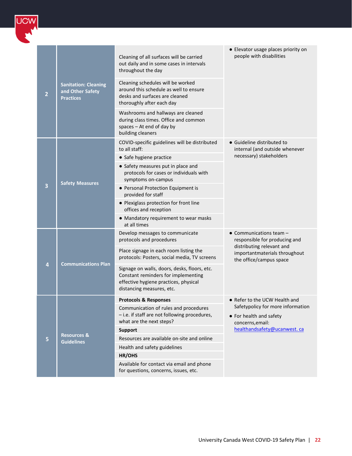

| $\overline{2}$ | <b>Sanitation: Cleaning</b><br>and Other Safety<br><b>Practices</b> | Cleaning of all surfaces will be carried<br>out daily and in some cases in intervals<br>throughout the day<br>Cleaning schedules will be worked<br>around this schedule as well to ensure<br>desks and surfaces are cleaned<br>thoroughly after each day<br>Washrooms and hallways are cleaned<br>during class times. Office and common<br>spaces - At end of day by<br>building cleaners | • Elevator usage places priority on<br>people with disabilities                                                                                             |
|----------------|---------------------------------------------------------------------|-------------------------------------------------------------------------------------------------------------------------------------------------------------------------------------------------------------------------------------------------------------------------------------------------------------------------------------------------------------------------------------------|-------------------------------------------------------------------------------------------------------------------------------------------------------------|
| 3              | <b>Safety Measures</b>                                              | COVID-specific guidelines will be distributed<br>to all staff:<br>• Safe hygiene practice<br>• Safety measures put in place and<br>protocols for cases or individuals with<br>symptoms on-campus<br>• Personal Protection Equipment is<br>provided for staff<br>• Plexiglass protection for front line<br>offices and reception<br>• Mandatory requirement to wear masks<br>at all times  | • Guideline distributed to<br>internal (and outside whenever<br>necessary) stakeholders                                                                     |
| 4              | <b>Communications Plan</b>                                          | Develop messages to communicate<br>protocols and procedures<br>Place signage in each room listing the<br>protocols: Posters, social media, TV screens<br>Signage on walls, doors, desks, floors, etc.<br>Constant reminders for implementing<br>effective hygiene practices, physical<br>distancing measures, etc.                                                                        | $\bullet$ Communications team $-$<br>responsible for producing and<br>distributing relevant and<br>importantmaterials throughout<br>the office/campus space |
| 5              | <b>Resources &amp;</b><br><b>Guidelines</b>                         | <b>Protocols &amp; Responses</b><br>Communication of rules and procedures<br>- i.e. if staff are not following procedures,<br>what are the next steps?<br><b>Support</b><br>Resources are available on-site and online<br>Health and safety guidelines<br>HR/OHS<br>Available for contact via email and phone<br>for questions, concerns, issues, etc.                                    | $\bullet$ Refer to the UCW Health and<br>Safetypolicy for more information<br>• For health and safety<br>concerns, email:<br>healthandsafety@ucanwest.ca    |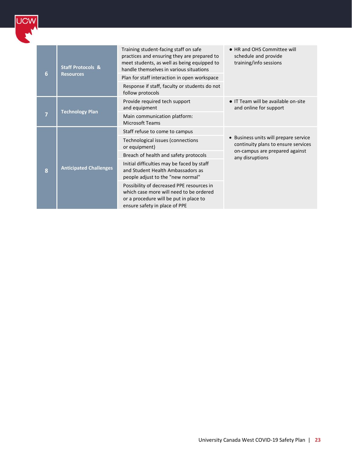| 6              | <b>Staff Protocols &amp;</b><br><b>Resources</b> | Training student-facing staff on safe<br>practices and ensuring they are prepared to<br>meet students, as well as being equipped to<br>handle themselves in various situations | • HR and OHS Committee will<br>schedule and provide<br>training/info sessions                                                   |
|----------------|--------------------------------------------------|--------------------------------------------------------------------------------------------------------------------------------------------------------------------------------|---------------------------------------------------------------------------------------------------------------------------------|
|                |                                                  | Plan for staff interaction in open workspace                                                                                                                                   |                                                                                                                                 |
|                |                                                  | Response if staff, faculty or students do not<br>follow protocols                                                                                                              |                                                                                                                                 |
| $\overline{7}$ | <b>Technology Plan</b>                           | Provide required tech support<br>and equipment                                                                                                                                 | • IT Team will be available on-site<br>and online for support                                                                   |
|                |                                                  | Main communication platform:<br><b>Microsoft Teams</b>                                                                                                                         |                                                                                                                                 |
|                | <b>Anticipated Challenges</b>                    | Staff refuse to come to campus                                                                                                                                                 | Business units will prepare service<br>continuity plans to ensure services<br>on-campus are prepared against<br>any disruptions |
|                |                                                  | Technological issues (connections<br>or equipment)                                                                                                                             |                                                                                                                                 |
|                |                                                  | Breach of health and safety protocols                                                                                                                                          |                                                                                                                                 |
| $\bf{8}$       |                                                  | Initial difficulties may be faced by staff<br>and Student Health Ambassadors as<br>people adjust to the "new normal"                                                           |                                                                                                                                 |
|                |                                                  | Possibility of decreased PPE resources in<br>which case more will need to be ordered<br>or a procedure will be put in place to<br>ensure safety in place of PPE                |                                                                                                                                 |

**UCW**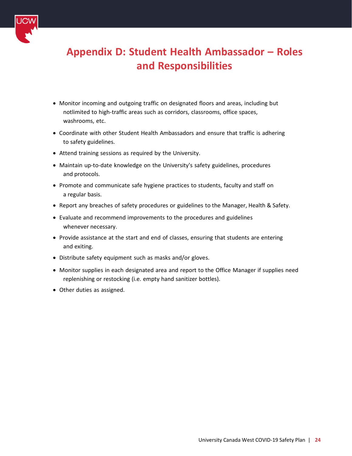

# <span id="page-23-0"></span>**Appendix D: Student Health Ambassador – Roles and Responsibilities**

- Monitor incoming and outgoing traffic on designated floors and areas, including but notlimited to high-traffic areas such as corridors, classrooms, office spaces, washrooms, etc.
- Coordinate with other Student Health Ambassadors and ensure that traffic is adhering to safety guidelines.
- Attend training sessions as required by the University.
- Maintain up-to-date knowledge on the University's safety guidelines, procedures and protocols.
- Promote and communicate safe hygiene practices to students, faculty and staff on a regular basis.
- Report any breaches of safety procedures or guidelines to the Manager, Health & Safety.
- Evaluate and recommend improvements to the procedures and guidelines whenever necessary.
- Provide assistance at the start and end of classes, ensuring that students are entering and exiting.
- Distribute safety equipment such as masks and/or gloves.
- Monitor supplies in each designated area and report to the Office Manager if supplies need replenishing or restocking (i.e. empty hand sanitizer bottles).
- Other duties as assigned.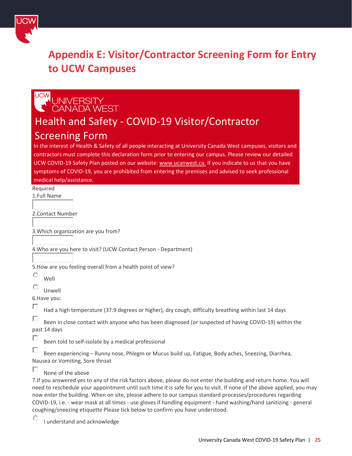

# <span id="page-24-0"></span>**Appendix E: Visitor/Contractor Screening Form for Entry to UCW Campuses**

# $ICMA$ UNIVERSITY<br>CANADA WEST

# Health and Safety - COVID-19 Visitor/Contractor Screening Form

In the interest of Health & Safety of all people interacting at University Canada West campuses, visitors and contractors must complete this declaration form prior to entering our campus. Please review our detailed UCW COVID-19 Safety Plan posted on our website: [www.ucanwest.ca.](http://www.ucanwest.ca/) If you indicate to us that you have symptoms of COVID-19, you are prohibited from entering the premises and advised to seek professional medical help/assistance.

Required 1.Full Name

2.Contact Number

3.Which organization are you from?

4.Who are you here to visit? (UCW Contact Person - Department)

5.How are you feeling overall from a health point of view?

O Well

O Unwell

6.Have you:

П Had a high temperature (37.9 degrees or higher), dry cough, difficulty breathing within last 14 days

П Been in close contact with anyone who has been diagnosed (or suspected of having COVID-19) within the past 14 days

п Been told to self-isolate by a medical professional

п Been experiencing – Runny nose, Phlegm or Mucus build up, Fatigue, Body aches, Sneezing, Diarrhea, Nausea or Vomiting, Sore throat

П None of the above

7.If you answered yes to any of the risk factors above, please do not enter the building and return home. You will need to reschedule your appointment until such time it is safe for you to visit. If none of the above applied, you may now enter the building. When on site, please adhere to our campus standard processes/procedures regarding COVID-19, i.e. - wear mask at all times - use gloves if handling equipment - hand washing/hand sanitizing - general coughing/sneezing etiquette Please tick below to confirm you have understood.

O I understand and acknowledge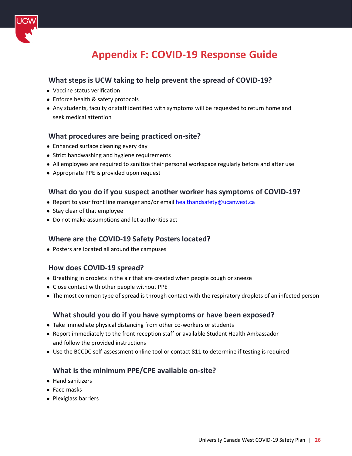<span id="page-25-0"></span>

# **Appendix F: COVID-19 Response Guide**

# **What steps is UCW taking to help prevent the spread of COVID-19?**

- Vaccine status verification
- Enforce health & safety protocols
- Any students, faculty or staff identified with symptoms will be requested to return home and seek medical attention

## **What procedures are being practiced on-site?**

- Enhanced surface cleaning every day
- Strict handwashing and hygiene requirements
- All employees are required to sanitize their personal workspace regularly before and after use
- Appropriate PPE is provided upon request

#### **What do you do if you suspect another worker has symptoms of COVID-19?**

- Report to your front line manager and/or email [healthandsafety@ucanwest.ca](mailto:healthandsafety@ucanwest.ca)
- Stay clear of that employee
- Do not make assumptions and let authorities act

## **Where are the COVID-19 Safety Posters located?**

● Posters are located all around the campuses

## **How does COVID-19 spread?**

- Breathing in droplets in the air that are created when people cough or sneeze
- Close contact with other people without PPE
- The most common type of spread is through contact with the respiratory droplets of an infected person

#### **What should you do if you have symptoms or have been exposed?**

- Take immediate physical distancing from other co-workers or students
- Report immediately to the front reception staff or available Student Health Ambassador and follow the provided instructions
- Use the BCCDC self-assessment online tool or contact 811 to determine if testing is required

## **What is the minimum PPE/CPE available on-site?**

- Hand sanitizers
- Face masks
- Plexiglass barriers